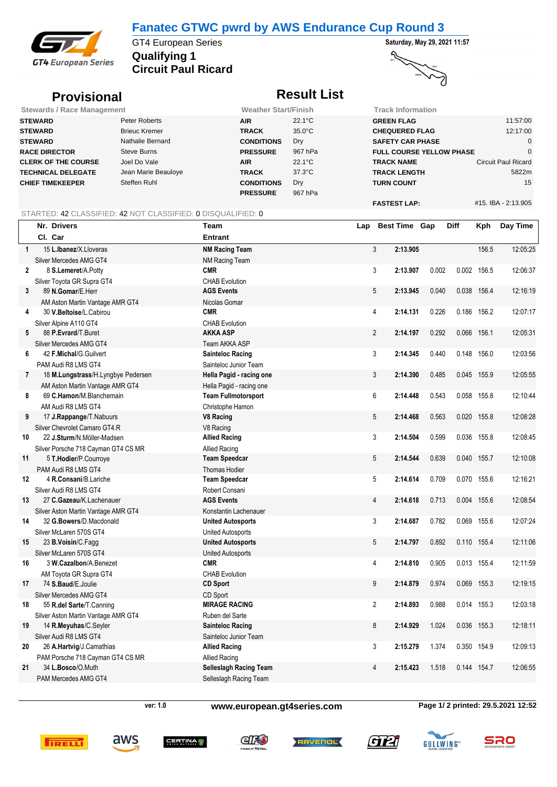## **Fanatec GTWC pwrd by AWS Endurance Cup Round 3**



**Qualifying 1** GT4 European Series **Saturday, May 29, 2021 11:57 Circuit Paul Ricard**

# 2)

্

# **Provisional** *Result List*

| <b>Stewards / Race Management</b> |                      | <b>Weather Start/Finish</b> |                  | Track Information               |                            |
|-----------------------------------|----------------------|-----------------------------|------------------|---------------------------------|----------------------------|
| <b>STEWARD</b>                    | Peter Roberts        | <b>AIR</b>                  | $22.1^{\circ}$ C | <b>GREEN FLAG</b>               | 11:57:00                   |
| <b>STEWARD</b>                    | <b>Brieuc Kremer</b> | <b>TRACK</b>                | $35.0^{\circ}$ C | <b>CHEQUERED FLAG</b>           | 12:17:00                   |
| <b>STEWARD</b>                    | Nathalie Bernard     | <b>CONDITIONS</b>           | Dry              | <b>SAFETY CAR PHASE</b>         |                            |
| <b>RACE DIRECTOR</b>              | Steve Burns          | <b>PRESSURE</b>             | 967 hPa          | <b>FULL COURSE YELLOW PHASE</b> |                            |
| <b>CLERK OF THE COURSE</b>        | Joel Do Vale         | <b>AIR</b>                  | $22.1^{\circ}$ C | <b>TRACK NAME</b>               | <b>Circuit Paul Ricard</b> |
| <b>TECHNICAL DELEGATE</b>         | Jean Marie Beauloye  | <b>TRACK</b>                | $37.3^{\circ}$ C | <b>TRACK LENGTH</b>             | 5822m                      |
| <b>CHIEF TIMEKEEPER</b>           | Steffen Ruhl         | <b>CONDITIONS</b>           | Dry              | <b>TURN COUNT</b>               | 15                         |
|                                   |                      | <b>PRESSURE</b>             | 967 hPa          |                                 |                            |
|                                   |                      |                             |                  | <b>FASTEST LAP:</b>             | #15. IBA - 2:13.905        |

### STARTED: 42 CLASSIFIED: 42 NOT CLASSIFIED: 0 DISQUALIFIED: 0

|                | Nr. Drivers                         | <b>Team</b>                   | Lap |                | Best Time Gap |       | Diff  | Kph         | Day Time |
|----------------|-------------------------------------|-------------------------------|-----|----------------|---------------|-------|-------|-------------|----------|
|                | Cl. Car                             | <b>Entrant</b>                |     |                |               |       |       |             |          |
| $\mathbf{1}$   | 15 L.Ibanez/X.Lloveras              | <b>NM Racing Team</b>         |     | 3              | 2:13.905      |       |       | 156.5       | 12:05:25 |
|                | Silver Mercedes AMG GT4             | <b>NM Racing Team</b>         |     |                |               |       |       |             |          |
| $\overline{2}$ | 8 S.Lemeret/A.Potty                 | <b>CMR</b>                    |     | 3              | 2:13.907      | 0.002 | 0.002 | 156.5       | 12:06:37 |
|                | Silver Toyota GR Supra GT4          | <b>CHAB Evolution</b>         |     |                |               |       |       |             |          |
| 3              | 89 N.Gomar/E.Herr                   | <b>AGS Events</b>             |     | 5              | 2:13.945      | 0.040 | 0.038 | 156.4       | 12:16:19 |
|                | AM Aston Martin Vantage AMR GT4     | Nicolas Gomar                 |     |                |               |       |       |             |          |
| 4              | 30 V.Beltoise/L.Cabirou             | <b>CMR</b>                    |     | 4              | 2:14.131      | 0.226 | 0.186 | 156.2       | 12:07:17 |
|                | Silver Alpine A110 GT4              | <b>CHAB Evolution</b>         |     |                |               |       |       |             |          |
| 5              | 88 P.Evrard/T.Buret                 | <b>AKKA ASP</b>               |     | $\overline{2}$ | 2:14.197      | 0.292 | 0.066 | 156.1       | 12:05:31 |
|                | Silver Mercedes AMG GT4             | Team AKKA ASP                 |     |                |               |       |       |             |          |
| 6              | 42 F.Michal/G.Guilvert              | <b>Sainteloc Racing</b>       |     | 3              | 2:14.345      | 0.440 |       | 0.148 156.0 | 12:03:56 |
|                | PAM Audi R8 LMS GT4                 | Sainteloc Junior Team         |     |                |               |       |       |             |          |
| $\overline{7}$ | 18 M.Lungstrass/H.Lyngbye Pedersen  | Hella Pagid - racing one      |     | 3              | 2:14.390      | 0.485 | 0.045 | 155.9       | 12:05:55 |
|                | AM Aston Martin Vantage AMR GT4     | Hella Pagid - racing one      |     |                |               |       |       |             |          |
| 8              | 69 C.Hamon/M.Blanchemain            | <b>Team Fullmotorsport</b>    |     | 6              | 2:14.448      | 0.543 | 0.058 | 155.8       | 12:10:44 |
|                | AM Audi R8 LMS GT4                  | Christophe Hamon              |     |                |               |       |       |             |          |
| 9              | 17 J.Rappange/T.Nabuurs             | <b>V8 Racing</b>              |     | 5              | 2:14.468      | 0.563 | 0.020 | 155.8       | 12:08:28 |
|                | Silver Chevrolet Camaro GT4.R       | V8 Racing                     |     |                |               |       |       |             |          |
| 10             | 22 J.Sturm/N.Möller-Madsen          | <b>Allied Racing</b>          |     | 3              | 2:14.504      | 0.599 |       | 0.036 155.8 | 12:08:45 |
|                | Silver Porsche 718 Cayman GT4 CS MR | <b>Allied Racing</b>          |     |                |               |       |       |             |          |
| 11             | 5 T.Hodier/P.Courroye               | <b>Team Speedcar</b>          |     | 5              | 2:14.544      | 0.639 | 0.040 | 155.7       | 12:10:08 |
|                | PAM Audi R8 LMS GT4                 | Thomas Hodier                 |     |                |               |       |       |             |          |
| 12             | 4 R.Consani/B.Lariche               | <b>Team Speedcar</b>          |     | 5              | 2:14.614      | 0.709 | 0.070 | 155.6       | 12:16:21 |
|                | Silver Audi R8 LMS GT4              | Robert Consani                |     |                |               |       |       |             |          |
| 13             | 27 C.Gazeau/K.Lachenauer            | <b>AGS Events</b>             |     | 4              | 2:14.618      | 0.713 | 0.004 | 155.6       | 12:08:54 |
|                | Silver Aston Martin Vantage AMR GT4 | Konstantin Lachenauer         |     |                |               |       |       |             |          |
| 14             | 32 G.Bowers/D.Macdonald             | <b>United Autosports</b>      |     | 3              | 2:14.687      | 0.782 | 0.069 | 155.6       | 12:07:24 |
|                | Silver McLaren 570S GT4             | <b>United Autosports</b>      |     |                |               |       |       |             |          |
| 15             | 23 B.Voisin/C.Fagg                  | <b>United Autosports</b>      |     | 5              | 2:14.797      | 0.892 | 0.110 | 155.4       | 12:11:06 |
|                | Silver McLaren 570S GT4             | <b>United Autosports</b>      |     |                |               |       |       |             |          |
| 16             | 3 W.Cazalbon/A.Benezet              | <b>CMR</b>                    |     | 4              | 2:14.810      | 0.905 |       | 0.013 155.4 | 12:11:59 |
|                | AM Toyota GR Supra GT4              | <b>CHAB Evolution</b>         |     |                |               |       |       |             |          |
| 17             | 74 S.Baud/E.Joulie                  | <b>CD Sport</b>               |     | 9              | 2:14.879      | 0.974 | 0.069 | 155.3       | 12:19:15 |
|                | Silver Mercedes AMG GT4             | CD Sport                      |     |                |               |       |       |             |          |
| 18             | 55 R.del Sarte/T.Canning            | <b>MIRAGE RACING</b>          |     | $\overline{2}$ | 2:14.893      | 0.988 | 0.014 | 155.3       | 12:03:18 |
|                | Silver Aston Martin Vantage AMR GT4 | Ruben del Sarte               |     |                |               |       |       |             |          |
| 19             | 14 R.Meyuhas/C.Seyler               | <b>Sainteloc Racing</b>       |     | 8              | 2:14.929      | 1.024 | 0.036 | 155.3       | 12:18:11 |
|                | Silver Audi R8 LMS GT4              | Sainteloc Junior Team         |     |                |               |       |       |             |          |
| 20             | 26 A.Hartvig/J.Camathias            | <b>Allied Racing</b>          |     | 3              | 2:15.279      | 1.374 |       | 0.350 154.9 | 12:09:13 |
|                | PAM Porsche 718 Cayman GT4 CS MR    | <b>Allied Racing</b>          |     |                |               |       |       |             |          |
| 21             | 34 L.Bosco/O.Muth                   | <b>Selleslagh Racing Team</b> |     | 4              | 2:15.423      | 1.518 |       | 0.144 154.7 | 12:06:55 |
|                | PAM Mercedes AMG GT4                | Selleslagh Racing Team        |     |                |               |       |       |             |          |

aws

**ver: 1.0 www.european.gt4series.com Page 1/ 2 printed: 29.5.2021 12:52**